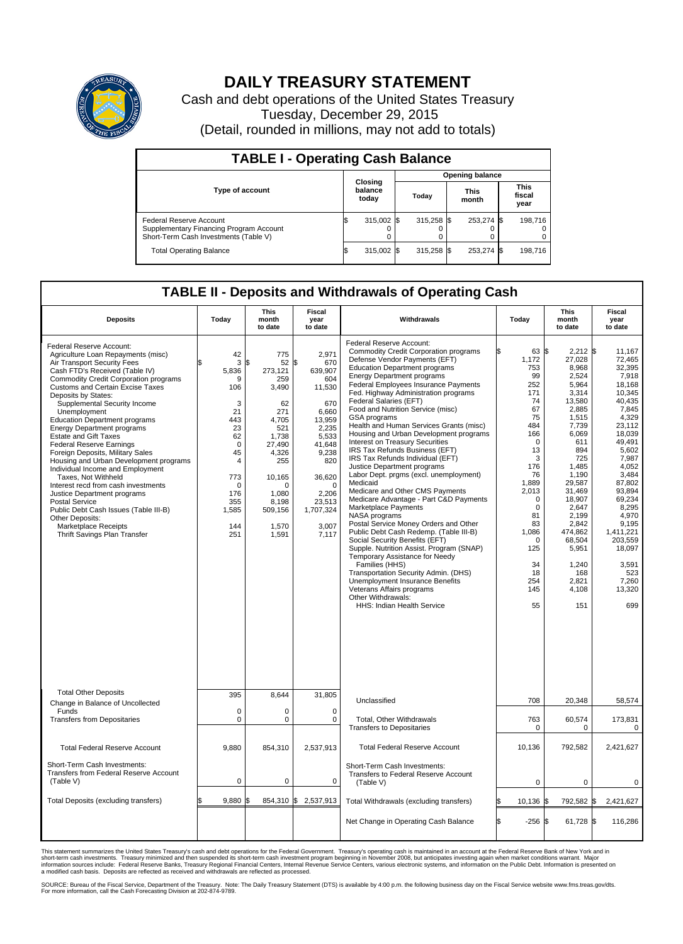

## **DAILY TREASURY STATEMENT**

Cash and debt operations of the United States Treasury Tuesday, December 29, 2015 (Detail, rounded in millions, may not add to totals)

| <b>TABLE I - Operating Cash Balance</b>                                                                     |                             |              |                        |              |                      |            |                               |         |  |  |  |
|-------------------------------------------------------------------------------------------------------------|-----------------------------|--------------|------------------------|--------------|----------------------|------------|-------------------------------|---------|--|--|--|
|                                                                                                             | Closing<br>balance<br>today |              | <b>Opening balance</b> |              |                      |            |                               |         |  |  |  |
| <b>Type of account</b>                                                                                      |                             |              | Today                  |              | <b>This</b><br>month |            | <b>This</b><br>fiscal<br>year |         |  |  |  |
| Federal Reserve Account<br>Supplementary Financing Program Account<br>Short-Term Cash Investments (Table V) |                             | 315,002 \$   |                        | 315.258 \$   |                      | 253,274 \$ |                               | 198.716 |  |  |  |
| <b>Total Operating Balance</b>                                                                              | S                           | $315,002$ \$ |                        | $315,258$ \$ |                      | 253,274 \$ |                               | 198,716 |  |  |  |

## **TABLE II - Deposits and Withdrawals of Operating Cash**

| <b>Deposits</b>                                                                                                                                                                                                                                                                                                                                                                                                                                                                                                                                                                                                                                                                                                                                                                                               | Today                                                                                                                                           | <b>This</b><br>month<br>to date                                                                                                                                          | <b>Fiscal</b><br>year<br>to date                                                                                                                                                                | Withdrawals                                                                                                                                                                                                                                                                                                                                                                                                                                                                                                                                                                                                                                                                                                                                                                                                                                                                                                                                                                                                                                                                                                                                                   | Today                                                                                                                                                                                                                                       | <b>This</b><br>month<br>to date                                                                                                                                                                                                                                               | Fiscal<br>year<br>to date                                                                                                                                                                                                                                                                  |
|---------------------------------------------------------------------------------------------------------------------------------------------------------------------------------------------------------------------------------------------------------------------------------------------------------------------------------------------------------------------------------------------------------------------------------------------------------------------------------------------------------------------------------------------------------------------------------------------------------------------------------------------------------------------------------------------------------------------------------------------------------------------------------------------------------------|-------------------------------------------------------------------------------------------------------------------------------------------------|--------------------------------------------------------------------------------------------------------------------------------------------------------------------------|-------------------------------------------------------------------------------------------------------------------------------------------------------------------------------------------------|---------------------------------------------------------------------------------------------------------------------------------------------------------------------------------------------------------------------------------------------------------------------------------------------------------------------------------------------------------------------------------------------------------------------------------------------------------------------------------------------------------------------------------------------------------------------------------------------------------------------------------------------------------------------------------------------------------------------------------------------------------------------------------------------------------------------------------------------------------------------------------------------------------------------------------------------------------------------------------------------------------------------------------------------------------------------------------------------------------------------------------------------------------------|---------------------------------------------------------------------------------------------------------------------------------------------------------------------------------------------------------------------------------------------|-------------------------------------------------------------------------------------------------------------------------------------------------------------------------------------------------------------------------------------------------------------------------------|--------------------------------------------------------------------------------------------------------------------------------------------------------------------------------------------------------------------------------------------------------------------------------------------|
| Federal Reserve Account:<br>Agriculture Loan Repayments (misc)<br>Air Transport Security Fees<br>Cash FTD's Received (Table IV)<br><b>Commodity Credit Corporation programs</b><br><b>Customs and Certain Excise Taxes</b><br>Deposits by States:<br>Supplemental Security Income<br>Unemployment<br><b>Education Department programs</b><br><b>Energy Department programs</b><br><b>Estate and Gift Taxes</b><br><b>Federal Reserve Earnings</b><br>Foreign Deposits, Military Sales<br>Housing and Urban Development programs<br>Individual Income and Employment<br>Taxes. Not Withheld<br>Interest recd from cash investments<br>Justice Department programs<br>Postal Service<br>Public Debt Cash Issues (Table III-B)<br>Other Deposits:<br><b>Marketplace Receipts</b><br>Thrift Savings Plan Transfer | 42<br>3<br>5,836<br>9<br>106<br>3<br>21<br>443<br>23<br>62<br>$\mathbf 0$<br>45<br>4<br>773<br>$\mathbf 0$<br>176<br>355<br>1,585<br>144<br>251 | 775<br>\$<br>52<br>273.121<br>259<br>3,490<br>62<br>271<br>4.705<br>521<br>1,738<br>27,490<br>4,326<br>255<br>10.165<br>n<br>1.080<br>8,198<br>509,156<br>1,570<br>1,591 | 2,971<br>\$<br>670<br>639.907<br>604<br>11,530<br>670<br>6,660<br>13,959<br>2.235<br>5,533<br>41,648<br>9,238<br>820<br>36,620<br>$\mathbf 0$<br>2,206<br>23,513<br>1,707,324<br>3,007<br>7,117 | Federal Reserve Account:<br><b>Commodity Credit Corporation programs</b><br>Defense Vendor Payments (EFT)<br><b>Education Department programs</b><br><b>Energy Department programs</b><br>Federal Employees Insurance Payments<br>Fed. Highway Administration programs<br>Federal Salaries (EFT)<br>Food and Nutrition Service (misc)<br>GSA programs<br>Health and Human Services Grants (misc)<br>Housing and Urban Development programs<br><b>Interest on Treasury Securities</b><br>IRS Tax Refunds Business (EFT)<br>IRS Tax Refunds Individual (EFT)<br>Justice Department programs<br>Labor Dept. prgms (excl. unemployment)<br>Medicaid<br>Medicare and Other CMS Payments<br>Medicare Advantage - Part C&D Payments<br>Marketplace Payments<br>NASA programs<br>Postal Service Money Orders and Other<br>Public Debt Cash Redemp. (Table III-B)<br>Social Security Benefits (EFT)<br>Supple. Nutrition Assist. Program (SNAP)<br>Temporary Assistance for Needy<br>Families (HHS)<br>Transportation Security Admin. (DHS)<br>Unemployment Insurance Benefits<br>Veterans Affairs programs<br>Other Withdrawals:<br><b>HHS: Indian Health Service</b> | 63 \$<br>1,172<br>753<br>99<br>252<br>171<br>74<br>67<br>75<br>484<br>166<br>$\mathbf 0$<br>13<br>3<br>176<br>76<br>1.889<br>2,013<br>$\mathbf 0$<br>$\mathbf 0$<br>81<br>83<br>1,086<br>$\mathbf 0$<br>125<br>34<br>18<br>254<br>145<br>55 | $2,212$ \$<br>27,028<br>8,968<br>2,524<br>5,964<br>3,314<br>13,580<br>2.885<br>1,515<br>7,739<br>6,069<br>611<br>894<br>725<br>1,485<br>1,190<br>29.587<br>31,469<br>18,907<br>2,647<br>2.199<br>2,842<br>474,862<br>68,504<br>5,951<br>1,240<br>168<br>2,821<br>4,108<br>151 | 11.167<br>72,465<br>32.395<br>7,918<br>18,168<br>10,345<br>40,435<br>7.845<br>4,329<br>23.112<br>18,039<br>49,491<br>5,602<br>7,987<br>4,052<br>3,484<br>87.802<br>93.894<br>69,234<br>8,295<br>4.970<br>9,195<br>1,411,221<br>203,559<br>18,097<br>3,591<br>523<br>7,260<br>13,320<br>699 |
| <b>Total Other Deposits</b><br>Change in Balance of Uncollected                                                                                                                                                                                                                                                                                                                                                                                                                                                                                                                                                                                                                                                                                                                                               | 395                                                                                                                                             | 8,644                                                                                                                                                                    | 31,805                                                                                                                                                                                          | Unclassified                                                                                                                                                                                                                                                                                                                                                                                                                                                                                                                                                                                                                                                                                                                                                                                                                                                                                                                                                                                                                                                                                                                                                  | 708                                                                                                                                                                                                                                         | 20,348                                                                                                                                                                                                                                                                        | 58,574                                                                                                                                                                                                                                                                                     |
| Funds<br><b>Transfers from Depositaries</b>                                                                                                                                                                                                                                                                                                                                                                                                                                                                                                                                                                                                                                                                                                                                                                   | $\mathbf 0$<br>$\mathbf 0$                                                                                                                      | $\Omega$<br>0                                                                                                                                                            | $\mathbf 0$<br>0                                                                                                                                                                                | Total, Other Withdrawals<br><b>Transfers to Depositaries</b>                                                                                                                                                                                                                                                                                                                                                                                                                                                                                                                                                                                                                                                                                                                                                                                                                                                                                                                                                                                                                                                                                                  | 763<br>$\mathbf 0$                                                                                                                                                                                                                          | 60,574<br>0                                                                                                                                                                                                                                                                   | 173,831<br>0                                                                                                                                                                                                                                                                               |
| <b>Total Federal Reserve Account</b>                                                                                                                                                                                                                                                                                                                                                                                                                                                                                                                                                                                                                                                                                                                                                                          | 9.880                                                                                                                                           | 854,310                                                                                                                                                                  | 2,537,913                                                                                                                                                                                       | <b>Total Federal Reserve Account</b>                                                                                                                                                                                                                                                                                                                                                                                                                                                                                                                                                                                                                                                                                                                                                                                                                                                                                                                                                                                                                                                                                                                          | 10,136                                                                                                                                                                                                                                      | 792,582                                                                                                                                                                                                                                                                       | 2,421,627                                                                                                                                                                                                                                                                                  |
| Short-Term Cash Investments:<br><b>Transfers from Federal Reserve Account</b><br>(Table V)                                                                                                                                                                                                                                                                                                                                                                                                                                                                                                                                                                                                                                                                                                                    | $\mathbf 0$                                                                                                                                     | 0                                                                                                                                                                        | 0                                                                                                                                                                                               | Short-Term Cash Investments:<br>Transfers to Federal Reserve Account<br>(Table V)                                                                                                                                                                                                                                                                                                                                                                                                                                                                                                                                                                                                                                                                                                                                                                                                                                                                                                                                                                                                                                                                             | $\mathbf 0$                                                                                                                                                                                                                                 | 0                                                                                                                                                                                                                                                                             | 0                                                                                                                                                                                                                                                                                          |
| Total Deposits (excluding transfers)                                                                                                                                                                                                                                                                                                                                                                                                                                                                                                                                                                                                                                                                                                                                                                          | 9,880                                                                                                                                           | 854,310 \$                                                                                                                                                               | 2,537,913                                                                                                                                                                                       | Total Withdrawals (excluding transfers)                                                                                                                                                                                                                                                                                                                                                                                                                                                                                                                                                                                                                                                                                                                                                                                                                                                                                                                                                                                                                                                                                                                       | \$<br>$10,136$ \$                                                                                                                                                                                                                           | 792,582 \$                                                                                                                                                                                                                                                                    | 2,421,627                                                                                                                                                                                                                                                                                  |
|                                                                                                                                                                                                                                                                                                                                                                                                                                                                                                                                                                                                                                                                                                                                                                                                               |                                                                                                                                                 |                                                                                                                                                                          |                                                                                                                                                                                                 | Net Change in Operating Cash Balance                                                                                                                                                                                                                                                                                                                                                                                                                                                                                                                                                                                                                                                                                                                                                                                                                                                                                                                                                                                                                                                                                                                          | Ŝ.<br>$-256S$                                                                                                                                                                                                                               | 61,728 \$                                                                                                                                                                                                                                                                     | 116,286                                                                                                                                                                                                                                                                                    |

This statement summarizes the United States Treasury's cash and debt operations for the Federal Government. Treasury's operating cash is maintained in an account at the Federal Reserve Bank of New York and in<br>short-term ca

SOURCE: Bureau of the Fiscal Service, Department of the Treasury. Note: The Daily Treasury Statement (DTS) is available by 4:00 p.m. the following business day on the Fiscal Service website www.fms.treas.gov/dts.<br>For more